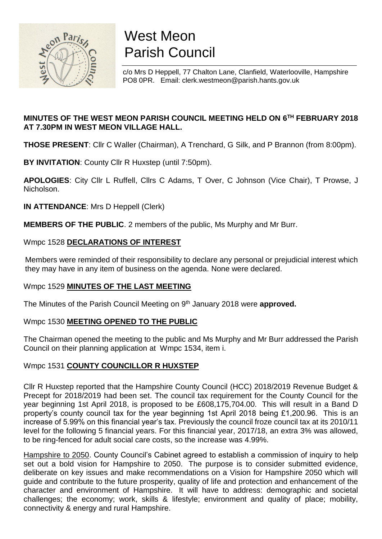

# West Meon Parish Council

c/o Mrs D Heppell, 77 Chalton Lane, Clanfield, Waterlooville, Hampshire PO8 0PR. Email: clerk.westmeon@parish.hants.gov.uk

## **MINUTES OF THE WEST MEON PARISH COUNCIL MEETING HELD ON 6 TH FEBRUARY 2018 AT 7.30PM IN WEST MEON VILLAGE HALL.**

**THOSE PRESENT**: Cllr C Waller (Chairman), A Trenchard, G Silk, and P Brannon (from 8:00pm).

**BY INVITATION**: County Cllr R Huxstep (until 7:50pm).

**APOLOGIES**: City Cllr L Ruffell, Cllrs C Adams, T Over, C Johnson (Vice Chair), T Prowse, J Nicholson.

**IN ATTENDANCE**: Mrs D Heppell (Clerk)

**MEMBERS OF THE PUBLIC**. 2 members of the public, Ms Murphy and Mr Burr.

### Wmpc 1528 **DECLARATIONS OF INTEREST**

Members were reminded of their responsibility to declare any personal or prejudicial interest which they may have in any item of business on the agenda. None were declared.

## Wmpc 1529 **MINUTES OF THE LAST MEETING**

The Minutes of the Parish Council Meeting on 9<sup>th</sup> January 2018 were **approved.** 

#### Wmpc 1530 **MEETING OPENED TO THE PUBLIC**

The Chairman opened the meeting to the public and Ms Murphy and Mr Burr addressed the Parish Council on their planning application at Wmpc 1534, item i.

## Wmpc 1531 **COUNTY COUNCILLOR R HUXSTEP**

Cllr R Huxstep reported that the Hampshire County Council (HCC) 2018/2019 Revenue Budget & Precept for 2018/2019 had been set. The council tax requirement for the County Council for the year beginning 1st April 2018, is proposed to be £608,175,704.00. This will result in a Band D property's county council tax for the year beginning 1st April 2018 being £1,200.96. This is an increase of 5.99% on this financial year's tax. Previously the council froze council tax at its 2010/11 level for the following 5 financial years. For this financial year, 2017/18, an extra 3% was allowed, to be ring-fenced for adult social care costs, so the increase was 4.99%.

Hampshire to 2050. County Council's Cabinet agreed to establish a commission of inquiry to help set out a bold vision for Hampshire to 2050. The purpose is to consider submitted evidence, deliberate on key issues and make recommendations on a Vision for Hampshire 2050 which will guide and contribute to the future prosperity, quality of life and protection and enhancement of the character and environment of Hampshire. It will have to address: demographic and societal challenges; the economy; work, skills & lifestyle; environment and quality of place; mobility, connectivity & energy and rural Hampshire.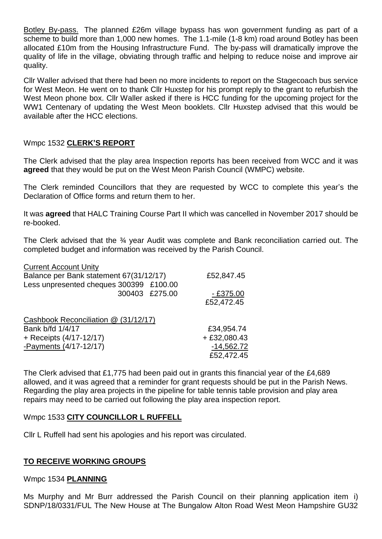Botley By-pass. The planned £26m village bypass has won government funding as part of a scheme to build more than 1,000 new homes. The 1.1-mile (1-8 km) road around Botley has been allocated £10m from the Housing Infrastructure Fund. The by-pass will dramatically improve the quality of life in the village, obviating through traffic and helping to reduce noise and improve air quality.

Cllr Waller advised that there had been no more incidents to report on the Stagecoach bus service for West Meon. He went on to thank Cllr Huxstep for his prompt reply to the grant to refurbish the West Meon phone box. Cllr Waller asked if there is HCC funding for the upcoming project for the WW1 Centenary of updating the West Meon booklets. Cllr Huxstep advised that this would be available after the HCC elections.

#### Wmpc 1532 **CLERK'S REPORT**

The Clerk advised that the play area Inspection reports has been received from WCC and it was **agreed** that they would be put on the West Meon Parish Council (WMPC) website.

The Clerk reminded Councillors that they are requested by WCC to complete this year's the Declaration of Office forms and return them to her.

It was **agreed** that HALC Training Course Part II which was cancelled in November 2017 should be re-booked.

The Clerk advised that the 34 year Audit was complete and Bank reconciliation carried out. The completed budget and information was received by the Parish Council.

| <b>Current Account Unity</b>            |                |
|-----------------------------------------|----------------|
| Balance per Bank statement 67(31/12/17) | £52,847.45     |
| Less unpresented cheques 300399 £100.00 |                |
| 300403 £275.00                          | $-£375.00$     |
|                                         | £52,472.45     |
| Cashbook Reconciliation @ (31/12/17)    |                |
| Bank b/fd 1/4/17                        | £34,954.74     |
| + Receipts (4/17-12/17)                 | $+ £32,080.43$ |
| -Payments (4/17-12/17)                  | $-14,562.72$   |
|                                         | £52,472.45     |

The Clerk advised that £1,775 had been paid out in grants this financial year of the £4,689 allowed, and it was agreed that a reminder for grant requests should be put in the Parish News. Regarding the play area projects in the pipeline for table tennis table provision and play area repairs may need to be carried out following the play area inspection report.

#### Wmpc 1533 **CITY COUNCILLOR L RUFFELL**

Cllr L Ruffell had sent his apologies and his report was circulated.

#### **TO RECEIVE WORKING GROUPS**

#### Wmpc 1534 **PLANNING**

Ms Murphy and Mr Burr addressed the Parish Council on their planning application item i) SDNP/18/0331/FUL The New House at The Bungalow Alton Road West Meon Hampshire GU32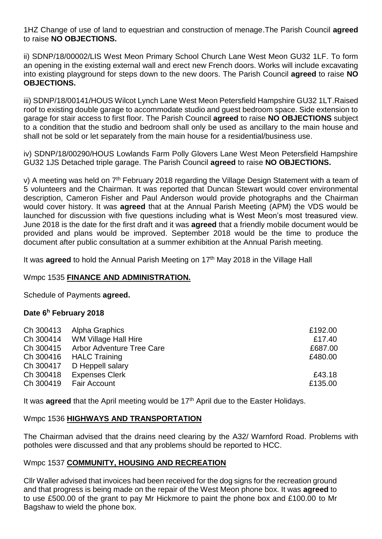1HZ Change of use of land to equestrian and construction of menage.The Parish Council **agreed** to raise **NO OBJECTIONS.**

ii) SDNP/18/00002/LIS West Meon Primary School Church Lane West Meon GU32 1LF. To form an opening in the existing external wall and erect new French doors. Works will include excavating into existing playground for steps down to the new doors. The Parish Council **agreed** to raise **NO OBJECTIONS.**

iii) SDNP/18/00141/HOUS Wilcot Lynch Lane West Meon Petersfield Hampshire GU32 1LT.Raised roof to existing double garage to accommodate studio and guest bedroom space. Side extension to garage for stair access to first floor. The Parish Council **agreed** to raise **NO OBJECTIONS** subject to a condition that the studio and bedroom shall only be used as ancillary to the main house and shall not be sold or let separately from the main house for a residential/business use.

iv) SDNP/18/00290/HOUS Lowlands Farm Polly Glovers Lane West Meon Petersfield Hampshire GU32 1JS Detached triple garage. The Parish Council **agreed** to raise **NO OBJECTIONS.**

v) A meeting was held on  $7<sup>th</sup>$  February 2018 regarding the Village Design Statement with a team of 5 volunteers and the Chairman. It was reported that Duncan Stewart would cover environmental description, Cameron Fisher and Paul Anderson would provide photographs and the Chairman would cover history. It was **agreed** that at the Annual Parish Meeting (APM) the VDS would be launched for discussion with five questions including what is West Meon's most treasured view. June 2018 is the date for the first draft and it was **agreed** that a friendly mobile document would be provided and plans would be improved. September 2018 would be the time to produce the document after public consultation at a summer exhibition at the Annual Parish meeting.

It was **agreed** to hold the Annual Parish Meeting on 17<sup>th</sup> May 2018 in the Village Hall

#### Wmpc 1535 **FINANCE AND ADMINISTRATION.**

Schedule of Payments **agreed.**

#### **Date 6 <sup>h</sup> February 2018**

| Ch 300414<br>Ch 300415                           | Ch 300413 Alpha Graphics<br>WM Village Hall Hire<br><b>Arbor Adventure Tree Care</b> | £192.00<br>£17.40<br>£687.00 |
|--------------------------------------------------|--------------------------------------------------------------------------------------|------------------------------|
| Ch 300416<br>Ch 300417<br>Ch 300418<br>Ch 300419 | <b>HALC Training</b><br>D Heppell salary<br><b>Expenses Clerk</b><br>Fair Account    | £480.00<br>£43.18<br>£135.00 |

It was **agreed** that the April meeting would be 17<sup>th</sup> April due to the Easter Holidays.

#### Wmpc 1536 **HIGHWAYS AND TRANSPORTATION**

The Chairman advised that the drains need clearing by the A32/ Warnford Road. Problems with potholes were discussed and that any problems should be reported to HCC.

#### Wmpc 1537 **COMMUNITY, HOUSING AND RECREATION**

Cllr Waller advised that invoices had been received for the dog signs for the recreation ground and that progress is being made on the repair of the West Meon phone box. It was **agreed** to to use £500.00 of the grant to pay Mr Hickmore to paint the phone box and £100.00 to Mr Bagshaw to wield the phone box.